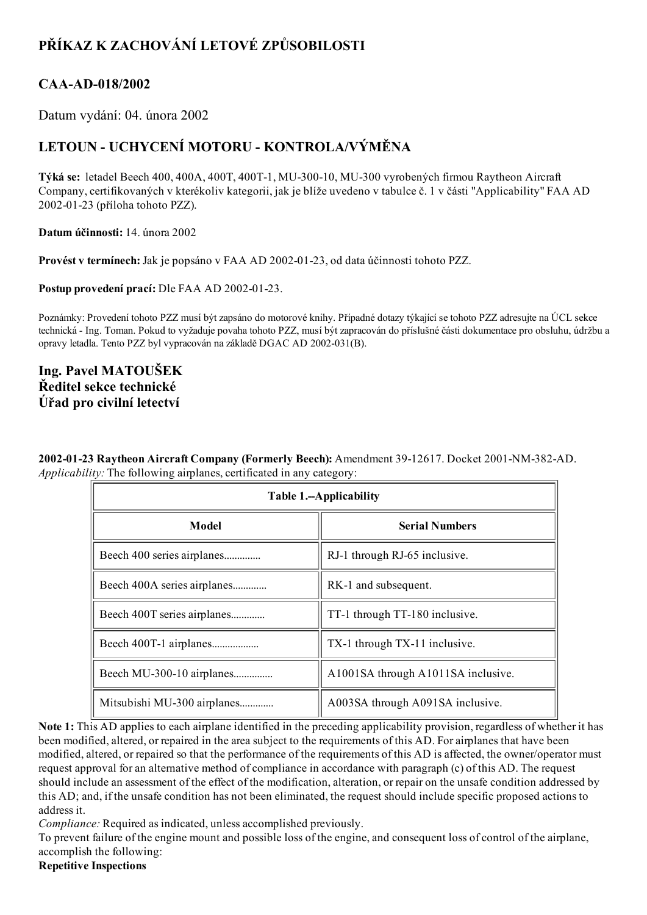# PŘÍKAZ K ZACHOVÁNÍ LETOVÉ ZPŮSOBILOSTI

## CAA-AD-018/2002

Datum vydání: 04. února 2002

## LETOUN - UCHYCENÍ MOTORU - KONTROLA/VÝMĚNA

Týká se: letadel Beech 400, 400A, 400T, 400T-1, MU-300-10, MU-300 vyrobených firmou Raytheon Aircraft Company, certifikovaných v kterékoliv kategorii, jak je blíže uvedeno v tabulce č. 1 v části "Applicability" FAA AD 20020123 (příloha tohoto PZZ).

Datum účinnosti: 14. února 2002

Provést v termínech: Jak je popsáno v FAA AD 2002-01-23, od data účinnosti tohoto PZZ.

Postup provedení prací: Dle FAA AD 2002-01-23.

Poznámky: Provedení tohoto PZZ musí být zapsáno do motorové knihy. Případné dotazy týkající se tohoto PZZ adresujte na ÚCL sekce technická Ing. Toman. Pokud to vyžaduje povaha tohoto PZZ, musí být zapracován do příslušné části dokumentace pro obsluhu, údržbu a opravy letadla. Tento PZZ byl vypracován na základě DGAC AD 2002-031(B).

## Ing. Pavel MATOUŠEK Ředitel sekce technické Úřad pro civilní letectví

2002-01-23 Raytheon Aircraft Company (Formerly Beech): Amendment 39-12617. Docket 2001-NM-382-AD. Applicability: The following airplanes, certificated in any category:

| Table 1.--Applicability     |                                    |
|-----------------------------|------------------------------------|
| Model                       | <b>Serial Numbers</b>              |
| Beech 400 series airplanes  | RJ-1 through RJ-65 inclusive.      |
| Beech 400A series airplanes | RK-1 and subsequent.               |
| Beech 400T series airplanes | TT-1 through TT-180 inclusive.     |
| Beech 400T-1 airplanes      | TX-1 through TX-11 inclusive.      |
| Beech MU-300-10 airplanes   | A1001SA through A1011SA inclusive. |
| Mitsubishi MU-300 airplanes | A003SA through A091SA inclusive.   |

Note 1: This AD applies to each airplane identified in the preceding applicability provision, regardless of whether it has been modified, altered, or repaired in the area subject to the requirements of this AD. For airplanes that have been modified, altered, or repaired so that the performance of the requirements of this AD is affected, the owner/operator must request approval for an alternative method of compliance in accordance with paragraph (c) of this AD. The request should include an assessment of the effect of the modification, alteration, or repair on the unsafe condition addressed by this AD; and, if the unsafe condition has not been eliminated, the request should include specific proposed actions to address it.

Compliance: Required as indicated, unless accomplished previously.

To prevent failure of the engine mount and possible loss of the engine, and consequent loss of control of the airplane, accomplish the following:

#### Repetitive Inspections